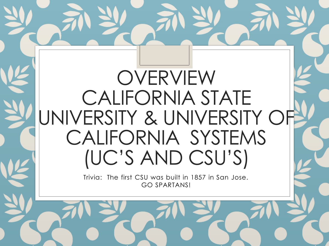### OVERVIEW CALIFORNIA STATE UNIVERSITY & UNIVERSITY OF CALIFORNIA SYSTEMS (UC'S AND CSU'S)

Trivia: The first CSU was built in 1857 in San Jose. GO SPARTANS!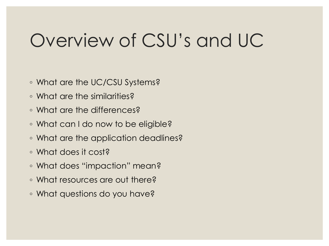### Overview of CSU's and UC

- What are the UC/CSU Systems?
- What are the similarities?
- What are the differences?
- What can I do now to be eligible?
- What are the application deadlines?
- What does it cost?
- What does "impaction" mean?
- What resources are out there?
- What questions do you have?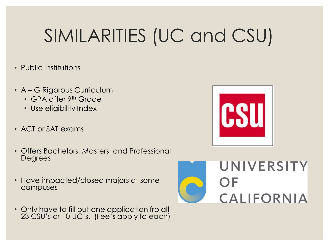## SIMILARITIES (UC and CSU)

- Public Institutions
- A G Rigorous Curriculum
	- GPA after 9<sup>th</sup> Grade
	- Use eligibility Index
- ACT or SAT exams
- Offers Bachelors, Masters, and Professional Degrees
- Have impacted/closed majors at some campuses
- Only have to fill out one application fro all 23 CSU's or 10 UC's. (Fee's apply to each)



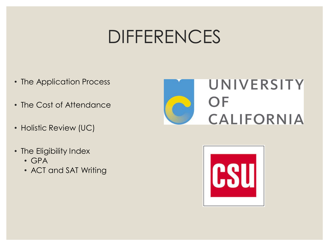### DIFFERENCES

- The Application Process
- The Cost of Attendance
- Holistic Review (UC)
- The Eligibility Index
	- GPA
	- ACT and SAT Writing



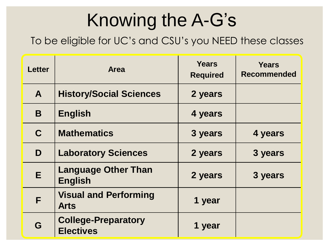## Knowing the A-G's

To be eligible for UC's and CSU's you NEED these classes

| <b>Letter</b> | <b>Area</b>                                    | <b>Years</b><br><b>Required</b> | <b>Years</b><br><b>Recommended</b> |
|---------------|------------------------------------------------|---------------------------------|------------------------------------|
| $\mathbf{A}$  | <b>History/Social Sciences</b>                 | 2 years                         |                                    |
| B             | <b>English</b>                                 | 4 years                         |                                    |
| $\mathbf C$   | <b>Mathematics</b>                             | 3 years                         | 4 years                            |
| D             | <b>Laboratory Sciences</b>                     | 2 years                         | 3 years                            |
| E             | <b>Language Other Than</b><br><b>English</b>   | 2 years                         | 3 years                            |
| F             | <b>Visual and Performing</b><br><b>Arts</b>    | 1 year                          |                                    |
| G             | <b>College-Preparatory</b><br><b>Electives</b> | 1 year                          |                                    |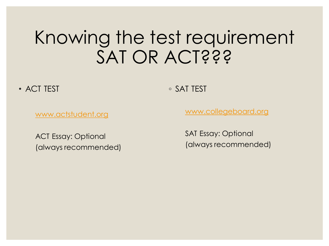### Knowing the test requirement SAT OR ACT???

• ACT TEST

◦ SAT TEST

[www.actstudent.org](http://www.actstudent.org/)

ACT Essay: Optional (always recommended) [www.collegeboard.org](http://www.collegeboard.org/)

SAT Essay: Optional (always recommended)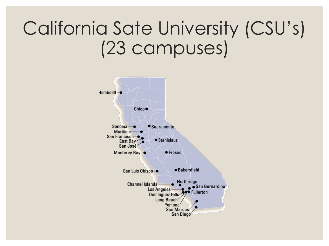### California Sate University (CSU's) (23 campuses)

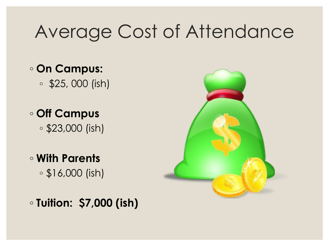### Average Cost of Attendance

- **On Campus:**
	- \$25, 000 (ish)
- **Off Campus** ◦ \$23,000 (ish)
- **With Parents**  ◦ \$16,000 (ish)



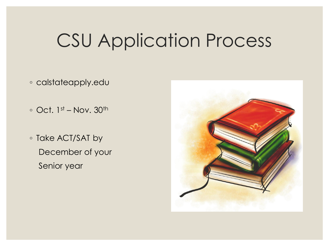### CSU Application Process

- calstateapply.edu
- $\circ$  Oct. 1st Nov. 30<sup>th</sup>
- Take ACT/SAT by December of your Senior year

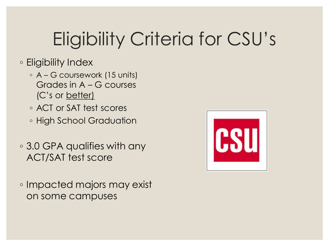## Eligibility Criteria for CSU's

#### ◦ Eligibility Index

- A G coursework (15 units) Grades in A – G courses (C's or better)
- ACT or SAT test scores
- High School Graduation
- 3.0 GPA qualifies with any ACT/SAT test score
- Impacted majors may exist on some campuses

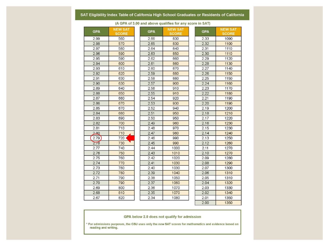#### SAT Eligibility Index Table of California High School Graduates or Residents of California

| <b>GPA</b> | <b>NEW SAT</b><br><b>SCORE</b> | <b>GPA</b> | <b>NEW SAT</b><br><b>SCORE</b> | <b>GPA</b> | <b>NEW SAT</b><br><b>SCORE</b> |
|------------|--------------------------------|------------|--------------------------------|------------|--------------------------------|
| 2.99       | 560                            | 2.66       | 830                            | 2.33       | 1090                           |
| 2.98       | 570                            | 2.65       | 830                            | 2.32       | 1100                           |
| 2.97       | 580                            | 2.64       | 840                            | 2.31       | 1110                           |
| 2.96       | 590                            | 2.63       | 850                            | 2.30       | 1110                           |
| 2.95       | 590                            | 2.62       | 860                            | 2.29       | 1120                           |
| 2.94       | 600                            | 2.61       | 860                            | 2.28       | 1130                           |
| 2.93       | 610                            | 2.60       | 870                            | 2.27       | 1140                           |
| 2.92       | 620                            | 2.59       | 880                            | 2.26       | 1150                           |
| 2.91       | 630                            | 2.58       | 880                            | 2.25       | 1150                           |
| 2.90       | 630                            | 2.57       | 900                            | 2.24       | 1160                           |
| 2.89       | 640                            | 2.56       | 910                            | 2.23       | 1170                           |
| 2.88       | 650                            | 2.55       | 910                            | 2.22       | 1180                           |
| 2.87       | 660                            | 2.54       | 920                            | 2.21       | 1190                           |
| 2.86       | 670                            | 2.53       | 930                            | 2.20       | 1190                           |
| 2.85       | 670                            | 2.52       | 940                            | 2.19       | 1200                           |
| 2.84       | 680                            | 2.51       | 950                            | 2.18       | 1210                           |
| 2.83       | 690                            | 2.50       | 950                            | 2.17       | 1220                           |
| 2.82       | 700                            | 2.49       | 960                            | 2.16       | 1230                           |
| 2.81       | 710                            | 2.48       | 970                            | 2.15       | 1230                           |
| 280        | 710                            | 2.47       | 980                            | 2.14       | 1240                           |
| 2.79       | 720                            | 2.46       | 990                            | 2.13       | 1250                           |
| 2.78       | 730                            | 2.45       | 990                            | 2.12       | 1260                           |
| 2.77       | 740                            | 2.44       | 1000                           | 2.11       | 1270                           |
| 2.76       | 750                            | 2.43       | 1010                           | 2.10       | 1270                           |
| 2.75       | 760                            | 2.42       | 1020                           | 2.09       | 1280                           |
| 2.74       | 770                            | 2.41       | 1030                           | 2.08       | 1290                           |
| 2.73       | 780                            | 2.40       | 1030                           | 2.07       | 1300                           |
| 2.72       | 780                            | 2.39       | 1040                           | 2.06       | 1310                           |
| 2.71       | 790                            | 2.38       | 1050                           | 2.05       | 1310                           |
| 2.70       | 790                            | 2.37       | 1060                           | 2.04       | 1320                           |
| 2.69       | 800                            | 2.36       | 1070                           | 2.03       | 1330                           |
| 2.68       | 810                            | 2.35       | 1070                           | 2.02       | 1340                           |
| 2.67       | 820                            | 2.34       | 1080                           | 2.01       | 1350                           |
|            |                                |            |                                | 2.00       | 1350                           |

(A GPA of 3.00 and above qualifies for any score in SAT)

#### GPA below 2.0 does not qualify for admission

\* For admissions purposes, the CSU uses only the new SAT scores for mathematics and evidence based on reading and writing.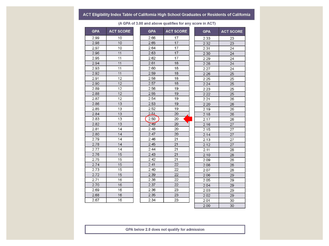#### ACT Eligibility Index Table of California High School Graduates or Residents of California

| <b>GPA</b> | <b>ACT SCORE</b> | <b>GPA</b> | <b>ACT SCORE</b> | <b>GPA</b> | <b>ACT SCORE</b> |
|------------|------------------|------------|------------------|------------|------------------|
| 2.99       | 10               | 2.66       | 17               | 2.33       | 23               |
| 2.98       | 10               | 2.65       | 17               | 2.32       | 23               |
| 2.97       | 10               | 2.64       | 17               | 2.31       | 24               |
| 2.96       | 11               | 2.63       | 17               | 2.30       | 24               |
| 2.95       | 11               | 2.62       | 17               | 2.29       | 24               |
| 2.94       | 11               | 2.61       | 18               | 2.28       | 24               |
| 2.93       | 11               | 2.60       | 18               | 2.27       | 24               |
| 2.92       | 11               | 2.59       | 18               | 2.26       | 25               |
| 2.91       | 12               | 2.58       | 18               | 2.25       | 25               |
| 2.90       | 12               | 2.57       | 18               | 2.24       | 25               |
| 2.89       | 12               | 2.56       | 19               | 2.23       | 25               |
| 2.88       | 12               | 2.55       | 19               | 2.22       | 25               |
| 2.87       | 12               | 2.54       | 19               | 2.21       | 26               |
| 2.86       | 13               | 2.53       | 19               | 2.20       | 26               |
| 2.85       | 13               | 2.52       | 19               | 2.19       | 26               |
| 2.84       | 13               | 2.51       | 20               | 2.18       | 26               |
| 2.83       | 13               | 2.50       | 20               | 2.17       | 26               |
| 2.82       | 13               | 2.49       | 20               | 2.16       | 27               |
| 2.81       | 14               | 2.48       | 20               | 2.15       | 27               |
| 2.80       | 14               | 2.47       | 20               | 2.14       | 27               |
| 2.79       | 14               | 2.46       | 21               | 2.13       | 27               |
| 2.78       | 14               | 2.45       | 21               | 2.12       | 27               |
| 2.77       | 14               | 2.44       | 21               | 2.11       | 28               |
| 2.76       | 15               | 2.43       | 21               | 2.10       | 28               |
| 2.75       | 15               | 2.42       | 21               | 2.09       | 28               |
| 2.74       | 15               | 2.41       | 22               | 2.08       | 28               |
| 2.73       | 15               | 2.40       | 22               | 2.07       | 28               |
| 2.72       | 15               | 2.39       | 22               | 2.06       | 29               |
| 2.71       | 16               | 2.38       | 22               | 2.05       | 29               |
| 2.70       | 16               | 2.37       | 22               | 2.04       | 29               |
| 2.69       | 16               | 2.36       | 23               | 2.03       | 29               |
| 2.68       | 16               | 2.35       | 23               | 2.02       | 29               |
| 2.67       | 16               | 2.34       | 23               | 2.01       | 30               |
|            |                  |            |                  | 2.00       | 30               |

(A GPA of 3.00 and above qualifies for any score in ACT)

GPA below 2.0 does not qualify for admission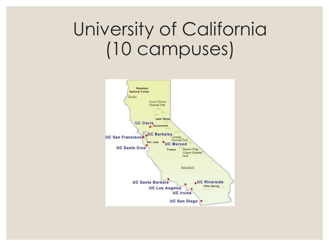### University of California (10 campuses)

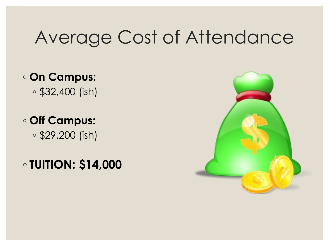### Average Cost of Attendance

### ◦ **On Campus:**

◦ \$32,400 (ish)

### ◦ **Off Campus:** ◦ \$29,200 (ish)

◦ **TUITION: \$14,000** 

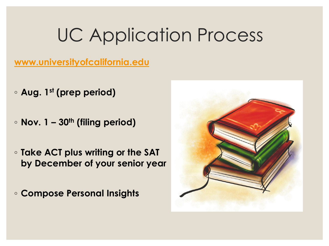### UC Application Process

#### **[www.universityofcalifornia.edu](http://www.universityofcalifornia.edu/)**

- **Aug. 1st (prep period)**
- **Nov. 1 – 30th (filing period)**
- **Take ACT plus writing or the SAT by December of your senior year**
- **Compose Personal Insights**

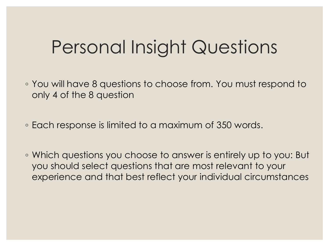### Personal Insight Questions

- You will have 8 questions to choose from. You must respond to only 4 of the 8 question
- Each response is limited to a maximum of 350 words.
- Which questions you choose to answer is entirely up to you: But you should select questions that are most relevant to your experience and that best reflect your individual circumstances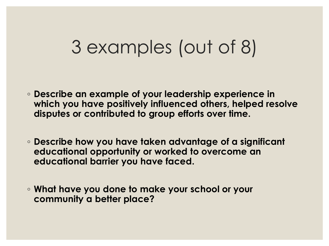### 3 examples (out of 8)

- **Describe an example of your leadership experience in which you have positively influenced others, helped resolve disputes or contributed to group efforts over time.**
- **Describe how you have taken advantage of a significant educational opportunity or worked to overcome an educational barrier you have faced.**
- **What have you done to make your school or your community a better place?**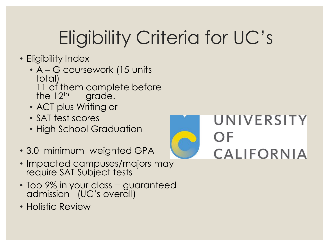## Eligibility Criteria for UC's

- Eligibility Index
	- A G coursework (15 units total) 11 of them complete before the  $12<sup>th</sup>$  grade. the grade.
	- ACT plus Writing or
	- SAT test scores
	- High School Graduation
- 3.0 minimum weighted GPA
- Impacted campuses/majors may require SAT Subject tests
- Top 9% in your class = guaranteed admission (UC's overall)
- Holistic Review

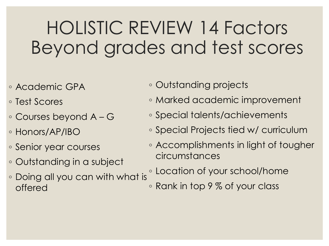### HOLISTIC REVIEW 14 Factors Beyond grades and test scores

- Academic GPA
- Test Scores
- Courses beyond A G
- Honors/AP/IBO
- Senior year courses
- Outstanding in a subject
- Doing all you can with what is offered
- Outstanding projects
- Marked academic improvement
- Special talents/achievements
- Special Projects tied w/ curriculum
- Accomplishments in light of tougher circumstances
- Location of your school/home
- Rank in top 9 % of your class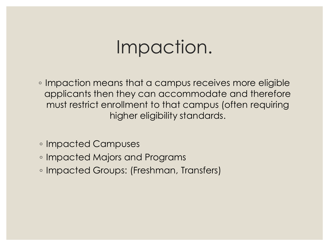### Impaction.

◦ Impaction means that a campus receives more eligible applicants then they can accommodate and therefore must restrict enrollment to that campus (often requiring higher eligibility standards.

- Impacted Campuses
- Impacted Majors and Programs
- Impacted Groups: (Freshman, Transfers)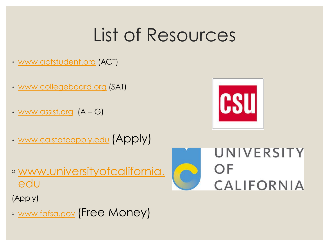### List of Resources

- [www.actstudent.org](http://www.actstudent.org/) (ACT)
- [www.collegeboard.org](http://www.collegeboard.org/) (SAT)
- [www.assist.org](http://www.assist.org/) (A G)
- [www.calstateapply.edu](http://www.calstateapply.edu/) (Apply)



◦ [www.universityofcalifornia.](http://www.universityofcalifornia.edu/) edu

(Apply)

◦ [www.fafsa.gov](http://www.fafsa.gov/) (Free Money)

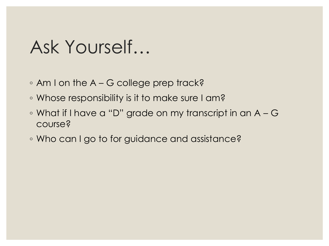### Ask Yourself…

- Am I on the A G college prep track?
- Whose responsibility is it to make sure I am?
- What if I have a "D" grade on my transcript in an A G course?
- Who can I go to for guidance and assistance?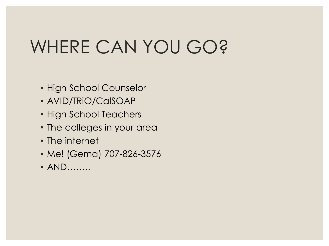## WHERE CAN YOU GO?

- High School Counselor
- AVID/TRiO/CalSOAP
- High School Teachers
- The colleges in your area
- The internet
- Me! (Gema) 707-826-3576
- AND…….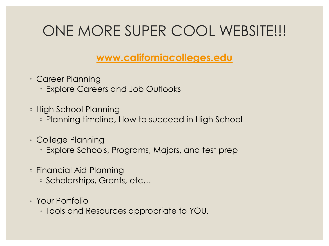### ONE MORE SUPER COOL WEBSITE!!!

#### **www.californiacolleges.edu**

◦ Career Planning

◦ Explore Careers and Job Outlooks

◦ High School Planning

◦ Planning timeline, How to succeed in High School

◦ College Planning

◦ Explore Schools, Programs, Majors, and test prep

◦ Financial Aid Planning

◦ Scholarships, Grants, etc…

◦ Your Portfolio

◦ Tools and Resources appropriate to YOU.